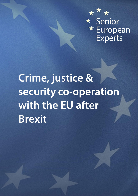

# **Crime, justice & security co-operation with the EU after Brexit**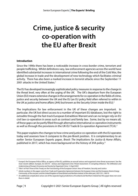## **Crime, justice & security co-operation with the EU after Brexit**

#### **Introduction**

Since the 1990s there has been a noticeable increase in cross-border crime, terrorism and people trafficking. Whilst definitions vary, law enforcement agencies across the world have identified substantial increases in international crime following the end of the Cold War, the global increase in trade and the development of new technology which facilitates criminal activity. There has also been a marked increase in terrorist attacks since the September 11 2001 attacks in the United States.[1](#page-2-0)

The EU has developed increasingly sophisticated policy measures in response to the change in the threat level, very often at the urging of the UK. The UK's departure from the European Union (EU) means extensive changes in the arrangements for co-operation in the fields of crime, justice and security between the UK and the EU (an EU policy field often referred to within in the UK as justice and home affairs (JHA) but known as the Security Union inside the EU).<sup>[2](#page-2-1)</sup>

The implications for law enforcement in the UK of these changes are important. In particular, the UK lost direct access to a number of important EU databases, lost the right to extradite through the fast-track European Extradition Warrant and can no longer rely on EU civil law co-operation in areas such as contract and family law. Some, but by no means all, of these gaps can be partly filled through alternative international co-operation instruments as well as through the provisions in the UK-EU Trade & Co-operation Agreement (TCA).<sup>[3](#page-2-2)</sup>

This paper explains the changes to how crime and justice co-operation with the EU operates today and assesses how it compares to the pre-Brexit position. It is complementary to an earlier Senior European Experts paper, *[Brexit: The Implications for Justice & Home Affairs,](https://senioreuropeanexperts.org/paper/brexit-implications-justice-home-affairs/)*  published in 2017, which has more background on the history of JHA policy.<sup>[4](#page-2-3)</sup>

<span id="page-2-0"></span><sup>1</sup> Europol, the European Police Office, an agency of the EU, publishes an annual serious and organised crime threat assessment. See the most recent edition: Europol, *[EU SOCTA – Serious and Organised Crime Threat Assessment: A Corrupting Influence: The Infiltration and](https://www.europol.europa.eu/activities-services/main-reports/european-union-serious-and-organised-crime-threat-assessment)  [Undermining of Europe's Economy and Society by Organised Crime](https://www.europol.europa.eu/activities-services/main-reports/european-union-serious-and-organised-crime-threat-assessment)*, 12 April 2021

<span id="page-2-2"></span><span id="page-2-1"></span> $2$  Title V of Part Three of the Treaty on the Functioning of the European Union: Area of Freedom, Security and Justice

<sup>3</sup> Article numbers in this paper come from *[Trade and Cooperation Agreement between the European Union and the European Atomic Energy](https://eur-lex.europa.eu/legal-content/EN/TXT/HTML/?uri=CELEX:22021A0430(01)&from=EN)  [Community, of the one part, and the United Kingdom of Great Britain and Northern Ireland, of the other part](https://eur-lex.europa.eu/legal-content/EN/TXT/HTML/?uri=CELEX:22021A0430(01)&from=EN)*, 2021 OJ L 149/10

<span id="page-2-3"></span><sup>&</sup>lt;sup>4</sup> An additional complication arises out of the separate legal jurisdictions of Scotland and Northern Ireland but this paper does not cover them in detail.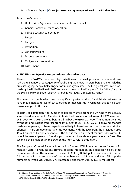Summary of contents:

- 1. UK-EU crime & justice co-operation: scale and impact
- 2. General framework for co-operation
- 3. Police & security co-operation
- 4. Europol
- 5. Eurojust
- 6. Extradition
- 7. Other provisions
- 8. Dispute settlement
- 9. Civil justice co-operation
- 10. Assessment

#### **1. UK-EU crime & justice co-operation: scale and impact**

The end of the Cold War, the advent of globalisation and the development of the internet all have had the unintentional consequence of facilitating the growth in cross border crime, including drug smuggling, people trafficking, terrorism and cybercrime. The first global assessment was made by the United Nations in 2010 and since its creation, the European Police Office (Europol), the EU's police co-operation agency, has published regular threat assessments.<sup>[5](#page-3-0)</sup>

The growth in cross border crime has significantly affected the UK and British police forces have made increasing use of EU co-operation mechanisms in response; this can be seen across a range of EU policies.

In terms of extradition, the number of people wanted from the UK who were actually surrendered to another EU Member State via the European Arrest Warrant (EAW) rose from 24 in 2004 to 1,390 in 2016/17 before falling back to 689 in 2019/20. The numbers wanted by the UK and surrendered rose from 19 in 2004 to 231 in 2019/20.<sup>[6](#page-3-1)</sup> Following changes made some years ago, these suspects were likely to have been accused of serious criminal offences. There are two important improvements with the EAW from the previously used 1957 Council of Europe convention. The first is the requirement for surrender within 30 days if the wanted person is found in your country; it took about a year before the EAW. The second is the limitations in the EAW on the right to refuse extradition.

The European Criminal Records Information System (ECRIS) enables police forces in EU Member States to request any criminal records information on a suspect held by other member countries. The increase in the use of ECRIS by British police can be seen in the sixfold increase in the exchange of messages between UK forces and their EU opposite numbers between May 2012 (35,734 messages) and March 2017 (239,843 messages).[7](#page-3-2)

**.** 

<span id="page-3-0"></span><sup>5</sup> UN Office on Drugs and Crime, *[The Globalisation of Crime: A Transnational Organized Crime Threat Assessment](https://www.unodc.org/unodc/en/data-and-analysis/tocta-2010.html)*, 17 June 2010

<span id="page-3-1"></span><sup>6</sup> Statistics on extradition are published by the National Crime Agency: se[e 'European Arrest Warrants',](https://nationalcrimeagency.gov.uk/what-we-do/how-we-work/providing-specialist-capabilities-for-law-enforcement/fugitives-and-international-crime/european-arrest-warrants) 7 March 2021

<span id="page-3-2"></span><sup>&</sup>lt;sup>7</sup> ACRO Criminal Records Office[, 'ACRO celebrates five years of ECRIS',](https://www.acro.police.uk/News/Celebrating-five-years-of-ECRIS) 2017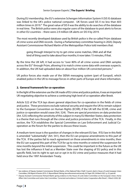During EU membership, the EU's extensive Schengen Information System II (SIS II) database was linked to the UK's police national computer. UK forces used SIS II no less than 603 million times in 2019.<sup>[8](#page-4-0)</sup> The great value of SIS II was the ability to do searches of the database in real time. The British police were also regular users of the database to post alerts to forces in other EU countries – there were 2.9 million UK alerts on SIS II by 2019.

The most recently developed database used by British police is the so-called Prüm database of crime scene and DNA records. During a Parliamentary committee hearing in 2020, Deputy Assistant Commissioner Richard Martin of the Metropolitan Police told members that:

going through Interpol to try to get crime scene matches, DNA and all that kind of thing used to take about four months; it now takes 15 minutes, if that.

By the time the UK left, it had access to "over 80% of all crime scenes and DNA samples across the EU" through Prüm, allowing it to match crime scene data with overseas suspects. In addition, the UK had uploaded data on about four million UK convicted persons.<sup>[9](#page-4-1)</sup>

UK police forces also made use of the SIENA messaging system (part of Europol), which enabled police in the UK to message forces in other parts of Europe and share information.

#### **2. General framework for co-operation**

In the light of the extensive use the UK made of EU crime and justice policies, it was an important UK negotiating objective to achieve a continuing high level of co-operation after Brexit.

Article 522 of the TCA lays down general objectives for co-operation in the fields of crime and justice. These provisions exclude national security and require the UK to remain subject to the European Convention on Human Rights (ECHR); if the UK left the ECHR, crime and justice co-operation would cease (Art. 524). There are special provisions on data protection (Art. 525) reflecting the sensitivity of this subject in many EU Member States; data protection is a theme that runs through all the crime and justice provisions of the TCA. Finally, in this section, the TCA establishes the Special Committee on Law Enforcement and Judicial Cooperation as the forum for the parties to discuss these issues.

A medium-term issue is the question of changes in the relevant EU law. If EU law in this field is amended "substantially" (Art. 541), then the EU can propose amendments to this part of the TCA. If the parties fail to reach agreement on those amendments in nine months, then the EU can suspend this part of the TCA for up to nine months or extend the suspension for nine months beyond the initial suspension. This could be important in the future as the UK has lost the influence it had as a Member State over the shaping of EU policy and in this specific field, lost its right to opt out or opt in to EU crime and justice measures that it had held since the 1997 Amsterdam Treaty.

<span id="page-4-0"></span><sup>8</sup> See evidence of Deputy Assistant Commissioner Richard Martin, of the National Police Chiefs' Council, cited in House of Lords European Union Committee, *[25th Report of Session 2019–21: Beyond Brexit: Policing, law enforcement and security](https://publications.parliament.uk/pa/ld5801/ldselect/ldeucom/250/25006.htm#_idTextAnchor049)*, HL Paper 205, 26 March 2021, p. 22, para 60

<span id="page-4-1"></span><sup>9</sup> Deputy Assistant Commissioner Richard Martin giving evidence to the House of Lords Select Committee on the European Union, Home Affairs Sub-Committee and Justice Sub‑Committee[, 'Corrected oral evidence: Criminal Justice Cooperation after Brexit',](https://committees.parliament.uk/oralevidence/137/html/) 3 March 2020, Q8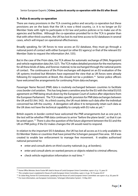#### **3. Police & security co-operation**

There are many provisions in the TCA covering police and security co-operation but these provisions are on the basis that the UK is now a third country, *i.e.* it is no longer an EU Member State with right to participate in EU law and justice policies or to make use of its agencies and facilities. Although the co-operation provided for in the TCA is greater than that with other third countries, the UK has lost its real time access to EU databases in several cases, which will impact on operational effectiveness.

Broadly speaking, for UK forces to now access an EU database, they must go through a national point of contact with either Europol (or other EU agency) or that of the relevant EU Member State to request the information (Art. 535).

But in the case of the Prüm data, the TCA allows for automatic exchange of DNA, fingerprint and vehicle registration data (Art. 527). The TCA makes detailed provision for the mechanisms for all these kinds of data, and forensic material, to be exchanged through the national points of contact. The continuance of the Prüm exchanges will depend on an EU evaluation of the UK systems involved but Ministers have expressed the view that as UK forces were already following EU requirements at Brexit, this should not be a problem.<sup>[10](#page-5-0)</sup> Senior police officers have welcomed the arrangements for continuing Prüm data exchanges.

Passenger Name Record (PNR) data is routinely exchanged between countries to facilitate cross border civil aviation. This has long been a sensitive area for the EU with the initial EU/US agreement on PNR being struck down by the European Court of Justice after objections from the European Parliament. The TCA makes specific provision for PNR data exchanges between the UK and EU (Art. 542). As a third country, the UK must delete such data after the individual concerned has left the country. A derogation will allow it to temporarily retain such data as the UK does not have the technical capability to comply with EU rules as yet.<sup>11</sup>

British experts in border control have welcomed the PNR arrangements but as one put it, the test will be whether PNR data continues to arrive "before the plane lands", so that it can be acted upon.[12](#page-5-2) There is also the question of the future alignment between the EU and the UK on PNR policy; if the EU makes changes the UK would need to respond.

In relation to the important SIS II database, the UK has lost all access as it is only available to EU Member States or countries that have joined the Schengen passport free area. SIS II was created to enable law enforcement to manage free movement. It enables authorised national personnel to:

- enter and consult alerts on third country nationals (*e.g.* at borders);
- enter and consult alerts on wanted persons or objects related to criminal offences;
- check vehicle registration information in real time.<sup>[13](#page-5-3)</sup>

**.** 

<span id="page-5-0"></span><sup>10</sup> Home Office Minister, Kevin Foster MP cited in House of Lords European Union Committee, *supra* n. 8, p. 15, para 35

<span id="page-5-1"></span><sup>11</sup> This complex issue is explained in House of Lords European Union Committee, *supra* n. 8, pp. 18-19, paras 44-47

<span id="page-5-2"></span><sup>12</sup> Sir Julian King, former EU Commissioner, speaking to the House of Lords European Union Committee: see *supra* n. 8, p. 20, para 50

<span id="page-5-3"></span><sup>&</sup>lt;sup>13</sup> For more information, see European Commission[, 'Schengen Information System',](https://ec.europa.eu/home-affairs/what-we-do/policies/borders-and-visas/schengen-information-system_en) 15 May 2021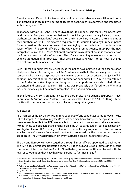A senior police officer told Parliament that no longer being able to access SIS would be: "a significant loss of capability in terms of access to data, which is automated and integrated within our systems".[14](#page-6-0)

To manage without SIS II, the UK needs two things to happen. First, that EU Member States (and the other European countries that are in the Schengen area, namely Iceland, Norway, Liechtenstein and Switzerland) post alerts on the Interpol I-24/7 system at the same time as they put them on SIS II. This creates a requirement for double-keying by European police forces, something UK law enforcement has been trying to persuade them to do through its liaison officers.<sup>15</sup> Second, officers at the UK National Crime Agency must put the new Interpol notices on to the Police National Computers in a matter of hours so that officers on the frontline can access the information. The NCA are switching to a robot-based system to enable automation of this process.<sup>[16](#page-6-2)</sup> They are also discussing with Interpol how to change to a real-time system for alerts in future.<sup>[17](#page-6-3)</sup>

Even if these arrangements are effective, as the police have pointed out the absence of an alert posted by an EU country on the I-24/7 system means that UK officers may fail to detain someone who they are suspicious about, meaning a criminal or terrorist evades justice.<sup>[18](#page-6-4)</sup> In addition, in terms of border security, the information coming via I-24/7 must be transferred to the Border Force Warnings Index, the system used at ports and airports to alert officers to wanted and suspicious persons. SIS II data was previously transferred to the Warnings Index automatically but data from Interpol has to be added manually.

In the future, the EU is creating a new pre-border clearance scheme (European Travel Information & Authorisation System, ETIAS) which will be linked to SIS II. As things stand, the UK will have no access to the data collected through this system.

#### **4. Europol**

As a member of the EU, the UK was a strong supporter of and contributor to the European Police Office (Europol). As a third country the UK cannot be a member of Europol or be represented on its management board but the TCA does enable it to continue to co-operate and share information with it. These co-operation arrangements enable the UK to participate in (but not initiate) joint investigative teams (JITs). These joint teams are one of the key ways in which Europol works, enabling law enforcement from several countries to co-operate in tackling cross border crime in a specific case. The UK was participating in over 40 JITs, for example, in September 2017.

The UK and Europol will work together through liaison officers appointed to each other. The TCA does permit data transfers between UK agencies and Europol, although the scope is more restricted than before Brexit. Nonetheless, police in the UK are pleased with the level of co-operation they have had with Europol so far since Brexit.<sup>[19](#page-6-5)</sup>

<span id="page-6-0"></span><sup>&</sup>lt;sup>14</sup> Assistant Chief Constable Peter Ayling, National Police Chiefs' Council, giving evidence to the House of Lords Select Committee on the European Union, Security and Justice Sub-Committee[, 'Corrected oral evidence: Post-Brexit UK-EU security co-operation',](https://committees.parliament.uk/oralevidence/1606/html/) 26 January 2020, Q7

<span id="page-6-1"></span><sup>15</sup> *Ibid.*, Q27

<span id="page-6-2"></span><sup>&</sup>lt;sup>16</sup> Written evidence of the National Crime Agency submitted to the EU Security and Justice Sub-Committee[: 'Written Evidence](https://committees.parliament.uk/writtenevidence/23533/html/) PBS0001 -[Post-Brexit UK-EU Security Cooperation',](https://committees.parliament.uk/writtenevidence/23533/html/) 10 March 2021

<span id="page-6-3"></span><sup>17</sup> *Supra* n. 14, Q24

<span id="page-6-4"></span><sup>18</sup> See House of Lords Select Committee on the European Union, Home Affairs Sub-Committee and Justice Sub-Committee, 'Corrected [oral evidence: Criminal Justice Cooperation after Brexit',](https://committees.parliament.uk/oralevidence/137/html/) 3 March 2020

<span id="page-6-5"></span><sup>19</sup> See House of Lords European Union Committee, *supra* n. 8, p. 33, para 111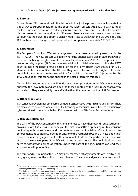#### **5. Eurojust**

Future UK and EU co-operation in the field of criminal justice prosecutions will operate in a similar way to Europol, that is, through appointed liaison officers (Art. 580). As with Europol, the focus is on co-operation in tackling serious crime and terrorism. The UK will appoint a Liaison prosecutor on secondment to Eurojust, there are national points of contact and Eurojust has the power to appoint a Liaison Magistrate to work with the UK (Art. 586). The TCA enables the exchange of both personal and non-personal data (Arts. 588-592).<sup>20</sup>

#### **6. Extradition**

The European Extradition Warrant arrangements have been replaced by new ones in the TCA (Art. 596). The new process will apply where the offence exists also in state from which a person is being sought, save for certain listed offences  $(599).<sup>21</sup>$  The principle of proportionality applies (597), to deter extradition for trivial offences. Unlike the EAW, countries have the right to refuse extradition for their own citizens (Art. 603); so far 10 EU Member States have notified the UK that they intend to exercise this right.<sup>[22](#page-7-2)</sup> It is also possible for countries to refuse extradition for "political offences" (601(h)) but unlike the 1957 Convention, this cannot be applied in the case of terrorist offences.

Although less extensive than the EAW, the extradition provisions in the TCA in many ways duplicate the EAW system and are similar to those adopted by the EU in respect of Norway and Iceland. They are certainly more effective than the provisions of the 1957 Convention.

#### **7. Other provisions**

TCA contains provisions for other forms of mutual assistance (Art. 633) in crime and justice. There are measures to ensure co-operation on the financing of terrorism. In addition, co-operation on cyber security will continue with the UK able to work with the EU's Cyber Security Agency.

#### **8. Dispute settlement**

**.** 

The parts of the TCA concerned with crime and justice have their own dispute settlement provisions (Art. 695 *et seq.*). In principle, the aim is to settle disputes by mutual consent, beginning with consultations and then reference to the Specialised Committee on Law Enforcement and Judicial Co-operation and/or to the Partnership Council. These bodies can resolve the matter by agreement. If they are unable to do so, the parties can suspend use of part of the relevant parts of the TCA with three months' notice. This could lead the other party to withdrawing all co-operation under this part of the TCA; parties can end their suspension with prior notice.

The crime and justice part of the TCA may be terminated "at any moment" (Art. 692) by either party giving nine months' notice of their intention. The crime and justice provisions would

<span id="page-7-0"></span><sup>20</sup> The details of the arrangements are set out in Eurojust, *[Judicial cooperation in criminal matters between the European Union and the](https://www.eurojust.europa.eu/judicial-cooperation-criminal-matters-between-european-union-and-united-kingdom-1-january-2021)  [United Kingdom from 1 January 2021](https://www.eurojust.europa.eu/judicial-cooperation-criminal-matters-between-european-union-and-united-kingdom-1-january-2021)*, 1 February 2021

<span id="page-7-1"></span> $21$  Time limits of 10 days for making a decision on an extradition request where the person sought consents and 60 days when they do not; the latter deadline can be extended by a further 30 days (Art. 615).

<span id="page-7-2"></span><sup>&</sup>lt;sup>22</sup> They are: Croatia, Finland, France, Germany, Greece, Latvia, Poland, Slovakia, Slovenia and Sweden. In addition, Austria and the Czech Republic will only extradite their own nationals if the wanted person consents.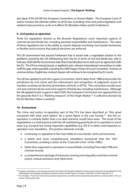also lapse if the UK left the European Convention on Human Rights. The European Court of Justice remains the ultimate arbiter on all EU law, including crime and justice legislation and related treaty provisions, as far as it affects EU Members States and EU institutions.

#### **9. Civil justice co-operation**

Three EU regulations (known as the Brussels Regulations) cover important aspects of commercial and family law, including parental responsibility and maintenance. The value of these regulations lies in the ability to resolve disputes involving cross border businesses or families and to ensure that judicial decisions are enforced.

The UK Government had assured Parliament that it would seek a negotiated solution to the problems caused by the UK withdrawing from the EU in terms of civil and family law; only in February 2020 did the Government state that it had decided not to seek such an agreement with the EU. The UK has instead joined, or applied to join, relevant international conventions in order to fill the gap, where possible, including the 2005 Hague Choice of Court Convention. In terms of commercial law, English law contract clauses will continue to be recognised by EU courts.

The UK has applied to join the Lugano Convention, which dates from 1988 and provides for jurisdiction by civil courts and the enforcement and recognition of judgments across its member countries (at the time all members of the EC or EFTA). This convention would cover civil and commercial law and some aspects of family law, including maintenance. Although the UK applied to join Lugano in April 2020, the European Commission has opposed this on the grounds that it is a "flanking measure" of the Single Market.<sup>[23](#page-8-0)</sup> A collective decision by the EU Member States is awaited.

#### **10. Assessment**

The crime and justice co-operation part of the TCA has been described as "thin gruel compared with what went before" by a senior figure in the Law Society.<sup>24</sup> But the cooperation is certainly better than a no deal outcome would have been. The result of the negotiations is a mixed picture with the UK maintaining good levels of co-operation in some areas (*e.g.* Europol) but losing important capabilities (*e.g.* SIS II) in others and impaired cooperation over extradition. The positive elements include:

- continuing co-operation in the main fields of cross-border crime and terrorism;
- a better and more comprehensive extradition framework than the 1957 Convention, avoiding a return to the "Costa del crime" of the 1980s;
- better than expected co-operation in several fields, including Prüm data, PNR and criminal records;
- a comprehensive package of measures covering not only police work but criminal justice, mutual assistance and cybercrime.

<span id="page-8-0"></span><sup>23</sup> European Commission, *[Communication from the Commission to the European Parliament and the Council: Assessment on the application of the](https://eur-lex.europa.eu/legal-content/EN/TXT/HTML/?uri=CELEX:52021DC0222&from=EN)  [United Kingdom of Great Britain and Northern Ireland to accede to the 2007 Lugano Convention](https://eur-lex.europa.eu/legal-content/EN/TXT/HTML/?uri=CELEX:52021DC0222&from=EN)*, COM (2021) 222 final, 4 May 2021, p. 4

<span id="page-8-1"></span><sup>&</sup>lt;sup>24</sup> Tim O'Sullivan[, 'The UK-EU Trade and Cooperation Agreement: Law enforcement and judicial cooperation in criminal matters',](https://www.lawsociety.org.uk/en/topics/brexit/uk-eu-tca-law-enforcement-and-judicial-cooperation-in-criminal-matters) The Law Society, 29 December 2020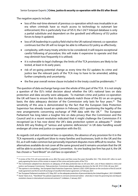The negative aspects include:

<u>.</u>

- loss of the real-time element of previous co-operation which was invaluable in an era when criminals have so much access to technology to outsmart law enforcement; this is particularly true of SIS II, the I-24/7 Interpol database is only a partial substitute and dependent on the goodwill and efficiency of EU police forces to keep it updated;
- loss of UK leadership in a policy field vital to the UK national interest; co-operation continues but the UK will no longer be able to influence EU policy as effectively;
- complexity, with many treaty articles to be considered; it will require exceptional careful following of procedure; this will make it expensive to operate and that may diminish how frequently it is utilised;
- it is vulnerable to legal challenge; the limits of the TCA provisions are likely to be tested, at least in its early years;
- risk of on-going potential change as every time the EU updates its crime and justice law the relevant parts of the TCA may to have to be amended, adding further complexity and uncertainty;
- $\bullet$  the five year overall review clause included in the treaty could be problematic.<sup>[25](#page-9-0)</sup>

The question of data exchange hangs over the whole of this part of the TCA. It is not simply a question of the EU's initial decision about whether the UK's national laws on data protection and data security were adequate. To maintain crime and justice co-operation the UK will have to ensure that its data standards match those of the EU on an on-going basis; the data adequacy decision of the Commission only lasts for four years.<sup>[26](#page-9-1)</sup> The sensitivity of this area is demonstrated by the fact that the European Data Protection Supervisor has already issued an opinion in February 2021 questioning the legality of the new arrangements concerning exchange of PNR data with the UK.<sup>27</sup> The European Parliament has long taken a tougher line on data privacy than the Commission and the Council and in a recent resolution indicated that it might challenge the Commission if it recognised (as it has now done) the UK's data protection system as adequate.<sup>28</sup> Under Article 693 any finding of "serious and systemic deficiencies" in UK data handling would endanger all crime and justice co-operation with the EU.

As regards civil and commercial law co-operation, the absence of any provision for it in the TCA represents a significant blow to many families and businesses, both in the UK and the EU, as it will make common but personally important disputes more difficult to resolve. The alternatives available do not cover all the same ground and it remains uncertain that the UK will be able to accede to the Lugano Convention. As one leading law firm has put it, the UK has chosen a "hard Brexit" on civil law co-operation.<sup>[29](#page-9-4)</sup>

<span id="page-9-0"></span><sup>&</sup>lt;sup>25</sup> A review of the TCA will automatically occur after five years and then every five years thereafter (Art. 776); Article 691 refers to each party agreeing the terms of this review in respect of the crime and justice parts of the TCA.

<span id="page-9-1"></span><sup>&</sup>lt;sup>26</sup> The Commission adopted two decisions on adequacy of UK data protection law on 28 June 2021, one of these related to crime and justice: see European Commission[, 'Data protection: Commission adopts adequacy decisions for the UK',](https://ec.europa.eu/commission/presscorner/detail/en/ip_21_3183) IP/21/3183, 28 June 2021

<span id="page-9-2"></span><sup>27</sup> The opinion is non-binding. See European Data Protection Supervisor, *[Opinion 3/2021: EDPS Opinion on the conclusion of the EU and UK](https://edps.europa.eu/data-protection/our-work/publications/opinions/edps-opinion-conclusion-eu-and-uk-trade-agreement_en)  [trade agreement and the EU and UK exchange of classified information agreement](https://edps.europa.eu/data-protection/our-work/publications/opinions/edps-opinion-conclusion-eu-and-uk-trade-agreement_en)*, 22 February 2021

<span id="page-9-3"></span><sup>&</sup>lt;sup>28</sup> Se[e 'European Parliament resolution of 21 May 2021 on the adequate protection of personal data by the United Kingdom',](https://www.europarl.europa.eu/doceo/document/TA-9-2021-0262_EN.html) 2021/2594(RSP)

<span id="page-9-4"></span><sup>29</sup> Xavier Taton *et al.*, *['"Hard Brexit" for judicial cooperation in civil and commercial matters - what does it mean for governing law and dispute](https://www.linklaters.com/en/insights/publications/2021/january/hard-brexit-for-judicial-cooperation-in-civil-and-commercial-matters)  [resolution clauses in international commercial contracts?'](https://www.linklaters.com/en/insights/publications/2021/january/hard-brexit-for-judicial-cooperation-in-civil-and-commercial-matters)*, Linklaters, 5 January 2021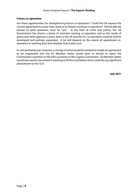#### **Future co-operation**

Are there opportunities for strengthening future co-operation? Could the UK expand the current agreement to cover more areas or to deepen existing co-operation? Technically the answer to both questions must be "yes". In the field of crime and justice, the UK Government has shown a desire to maintain existing co-operation and as the needs of police and other agencies evolve, both in the UK and the EU, co-operation could be further developed and perhaps expanded. A lot will depend on the extent of operational cooperation at working level and whether that builds trust.

In civil and family law, however, a change of mind would be needed to enable an agreement to be negotiated and the EU Member States would have to decide to reject the Commission's position on the UK's accession to the Lugano Convention. EU Member States would also need to be united in wanting to fill the void before there could be any significant amendment to the TCA.

*July 2021*